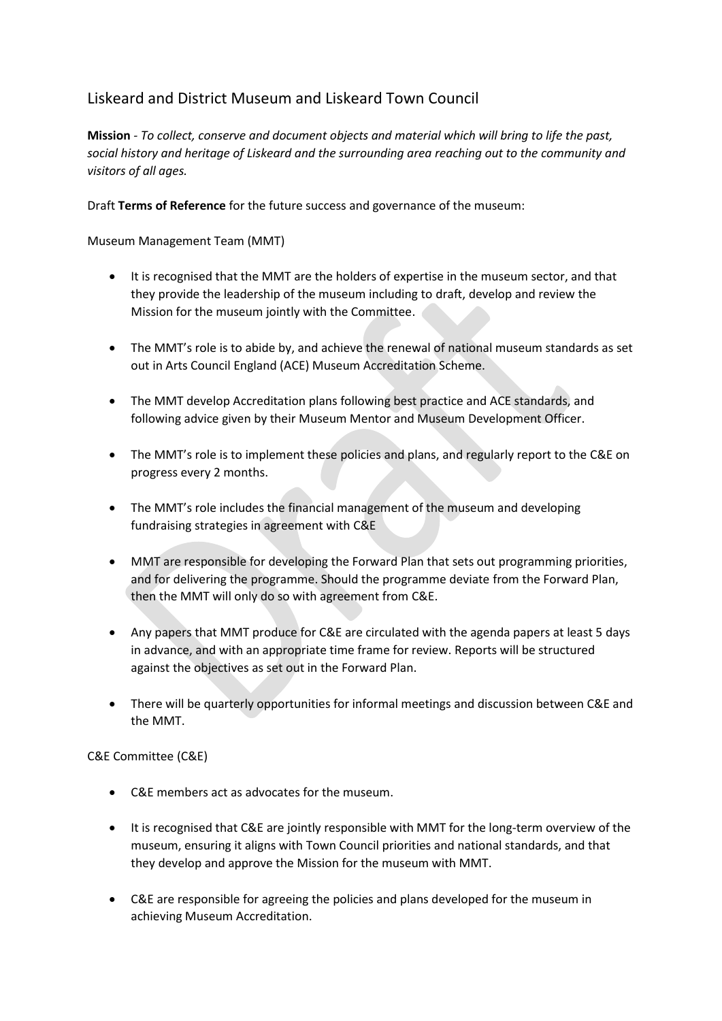## Liskeard and District Museum and Liskeard Town Council

**Mission** *- To collect, conserve and document objects and material which will bring to life the past, social history and heritage of Liskeard and the surrounding area reaching out to the community and visitors of all ages.*

Draft **Terms of Reference** for the future success and governance of the museum:

Museum Management Team (MMT)

- It is recognised that the MMT are the holders of expertise in the museum sector, and that they provide the leadership of the museum including to draft, develop and review the Mission for the museum jointly with the Committee.
- The MMT's role is to abide by, and achieve the renewal of national museum standards as set out in Arts Council England (ACE) Museum Accreditation Scheme.
- The MMT develop Accreditation plans following best practice and ACE standards, and following advice given by their Museum Mentor and Museum Development Officer.
- The MMT's role is to implement these policies and plans, and regularly report to the C&E on progress every 2 months.
- The MMT's role includes the financial management of the museum and developing fundraising strategies in agreement with C&E
- MMT are responsible for developing the Forward Plan that sets out programming priorities, and for delivering the programme. Should the programme deviate from the Forward Plan, then the MMT will only do so with agreement from C&E.
- Any papers that MMT produce for C&E are circulated with the agenda papers at least 5 days in advance, and with an appropriate time frame for review. Reports will be structured against the objectives as set out in the Forward Plan.
- There will be quarterly opportunities for informal meetings and discussion between C&E and the MMT.

C&E Committee (C&E)

- C&E members act as advocates for the museum.
- It is recognised that C&E are jointly responsible with MMT for the long-term overview of the museum, ensuring it aligns with Town Council priorities and national standards, and that they develop and approve the Mission for the museum with MMT.
- C&E are responsible for agreeing the policies and plans developed for the museum in achieving Museum Accreditation.